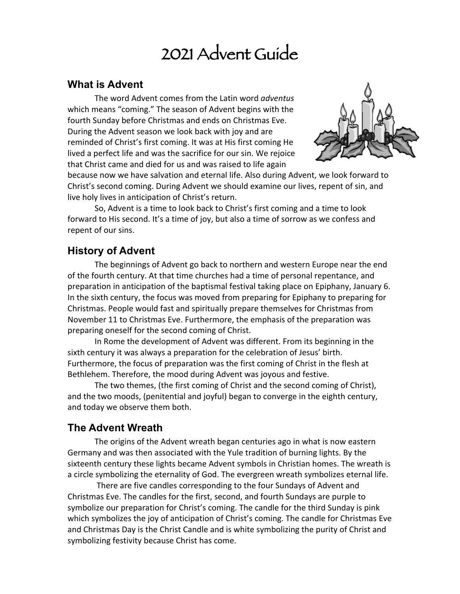# 2021 Advent Guide

#### **What is Advent**

The word Advent comes from the Latin word *adventus* which means "coming." The season of Advent begins with the fourth Sunday before Christmas and ends on Christmas Eve. During the Advent season we look back with joy and are reminded of Christ's first coming. It was at His first coming He lived a perfect life and was the sacrifice for our sin. We rejoice that Christ came and died for us and was raised to life again



because now we have salvation and eternal life. Also during Advent, we look forward to Christ's second coming. During Advent we should examine our lives, repent of sin, and live holy lives in anticipation of Christ's return.

So, Advent is a time to look back to Christ's first coming and a time to look forward to His second. It's a time of joy, but also a time of sorrow as we confess and repent of our sins.

#### **History of Advent**

The beginnings of Advent go back to northern and western Europe near the end of the fourth century. At that time churches had a time of personal repentance, and preparation in anticipation of the baptismal festival taking place on Epiphany, January 6. In the sixth century, the focus was moved from preparing for Epiphany to preparing for Christmas. People would fast and spiritually prepare themselves for Christmas from November 11 to Christmas Eve. Furthermore, the emphasis of the preparation was preparing oneself for the second coming of Christ.

In Rome the development of Advent was different. From its beginning in the sixth century it was always a preparation for the celebration of Jesus' birth. Furthermore, the focus of preparation was the first coming of Christ in the flesh at Bethlehem. Therefore, the mood during Advent was joyous and festive.

The two themes, (the first coming of Christ and the second coming of Christ), and the two moods, (penitential and joyful) began to converge in the eighth century, and today we observe them both.

#### **The Advent Wreath**

The origins of the Advent wreath began centuries ago in what is now eastern Germany and was then associated with the Yule tradition of burning lights. By the sixteenth century these lights became Advent symbols in Christian homes. The wreath is a circle symbolizing the eternality of God. The evergreen wreath symbolizes eternal life.

There are five candles corresponding to the four Sundays of Advent and Christmas Eve. The candles for the first, second, and fourth Sundays are purple to symbolize our preparation for Christ's coming. The candle for the third Sunday is pink which symbolizes the joy of anticipation of Christ's coming. The candle for Christmas Eve and Christmas Day is the Christ Candle and is white symbolizing the purity of Christ and symbolizing festivity because Christ has come.